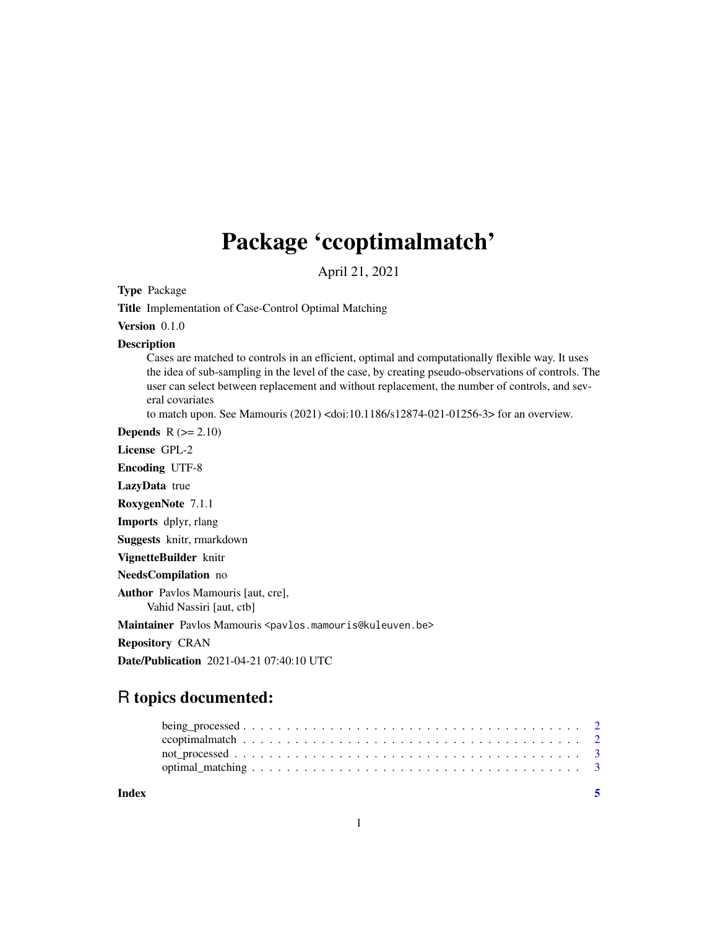## Package 'ccoptimalmatch'

April 21, 2021

Type Package

Title Implementation of Case-Control Optimal Matching

Version 0.1.0

Description

Cases are matched to controls in an efficient, optimal and computationally flexible way. It uses the idea of sub-sampling in the level of the case, by creating pseudo-observations of controls. The user can select between replacement and without replacement, the number of controls, and several covariates

to match upon. See Mamouris (2021) <doi:10.1186/s12874-021-01256-3> for an overview.

Depends  $R (= 2.10)$ 

License GPL-2

Encoding UTF-8

LazyData true

RoxygenNote 7.1.1

Imports dplyr, rlang

Suggests knitr, rmarkdown

VignetteBuilder knitr

NeedsCompilation no

Author Pavlos Mamouris [aut, cre], Vahid Nassiri [aut, ctb]

Maintainer Pavlos Mamouris <pavlos.mamouris@kuleuven.be>

Repository CRAN

Date/Publication 2021-04-21 07:40:10 UTC

### R topics documented:

| Index |  |  |  |  |  |  |  |  |  |  |  |  |  |  |  |  |
|-------|--|--|--|--|--|--|--|--|--|--|--|--|--|--|--|--|
|       |  |  |  |  |  |  |  |  |  |  |  |  |  |  |  |  |
|       |  |  |  |  |  |  |  |  |  |  |  |  |  |  |  |  |
|       |  |  |  |  |  |  |  |  |  |  |  |  |  |  |  |  |
|       |  |  |  |  |  |  |  |  |  |  |  |  |  |  |  |  |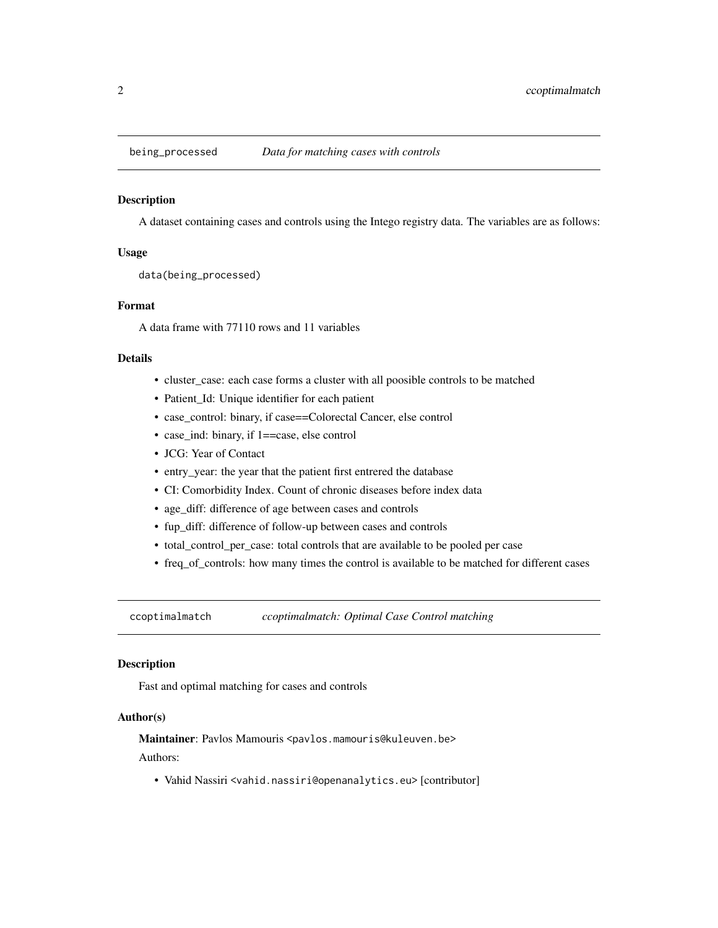<span id="page-1-0"></span>

#### Description

A dataset containing cases and controls using the Intego registry data. The variables are as follows:

#### Usage

data(being\_processed)

#### Format

A data frame with 77110 rows and 11 variables

#### Details

- cluster\_case: each case forms a cluster with all poosible controls to be matched
- Patient\_Id: Unique identifier for each patient
- case\_control: binary, if case==Colorectal Cancer, else control
- case\_ind: binary, if 1==case, else control
- JCG: Year of Contact
- entry\_year: the year that the patient first entrered the database
- CI: Comorbidity Index. Count of chronic diseases before index data
- age\_diff: difference of age between cases and controls
- fup\_diff: difference of follow-up between cases and controls
- total\_control\_per\_case: total controls that are available to be pooled per case
- freq\_of\_controls: how many times the control is available to be matched for different cases

ccoptimalmatch *ccoptimalmatch: Optimal Case Control matching*

#### Description

Fast and optimal matching for cases and controls

#### Author(s)

Maintainer: Pavlos Mamouris <pavlos.mamouris@kuleuven.be> Authors:

• Vahid Nassiri <vahid.nassiri@openanalytics.eu> [contributor]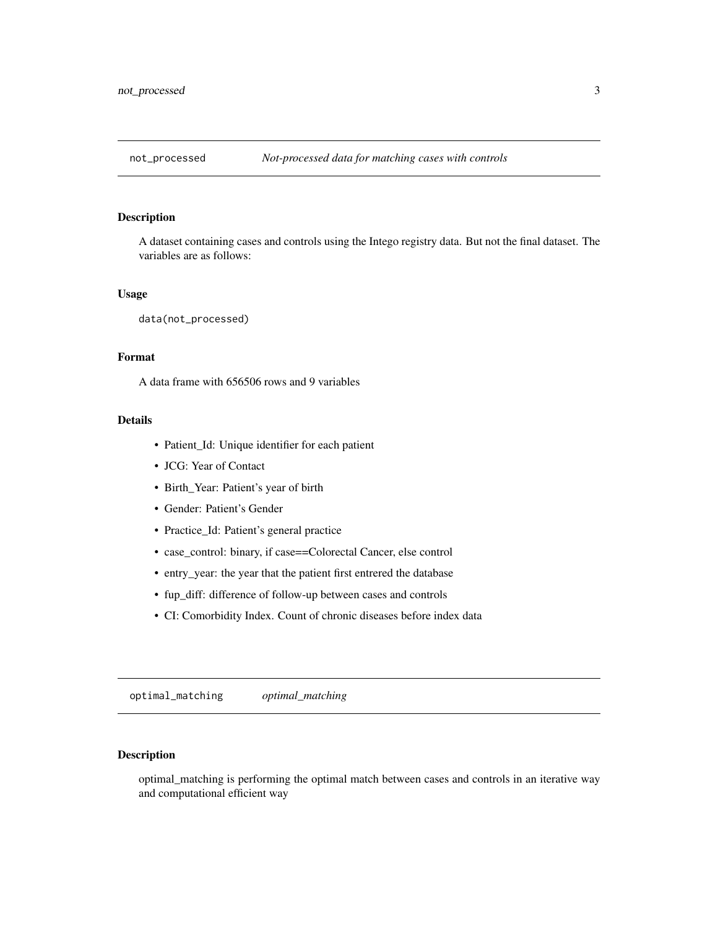<span id="page-2-0"></span>

#### Description

A dataset containing cases and controls using the Intego registry data. But not the final dataset. The variables are as follows:

#### Usage

data(not\_processed)

#### Format

A data frame with 656506 rows and 9 variables

#### Details

- Patient\_Id: Unique identifier for each patient
- JCG: Year of Contact
- Birth\_Year: Patient's year of birth
- Gender: Patient's Gender
- Practice\_Id: Patient's general practice
- case\_control: binary, if case==Colorectal Cancer, else control
- entry\_year: the year that the patient first entrered the database
- fup\_diff: difference of follow-up between cases and controls
- CI: Comorbidity Index. Count of chronic diseases before index data

optimal\_matching *optimal\_matching*

#### Description

optimal\_matching is performing the optimal match between cases and controls in an iterative way and computational efficient way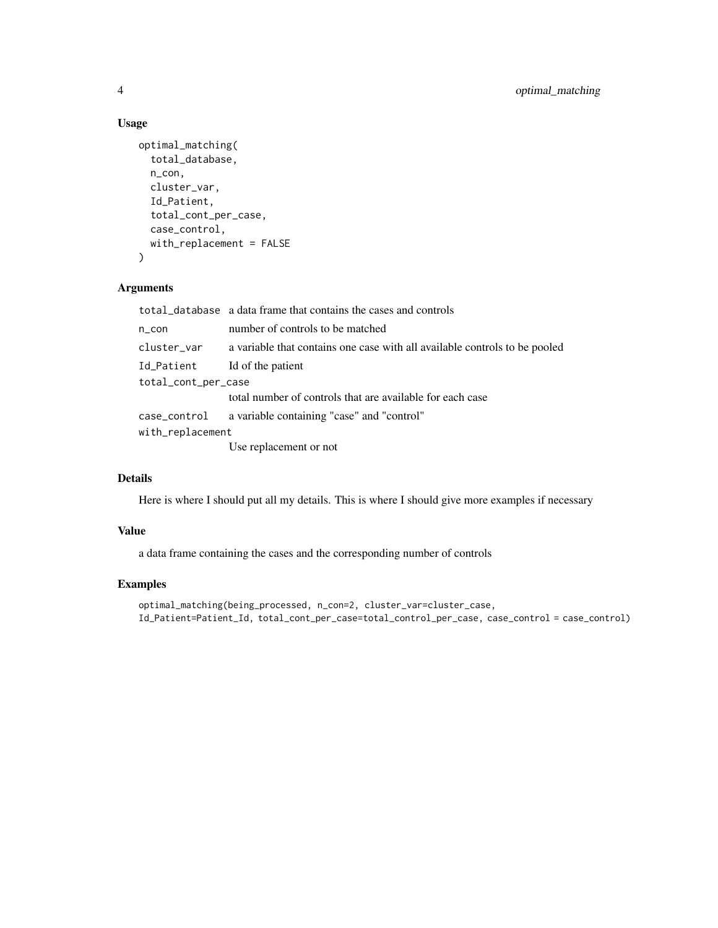#### Usage

```
optimal_matching(
  total_database,
 n_con,
 cluster_var,
 Id_Patient,
  total_cont_per_case,
  case_control,
 with_replacement = FALSE
\mathcal{E}
```
#### Arguments

|                              | total_database a data frame that contains the cases and controls           |
|------------------------------|----------------------------------------------------------------------------|
| n_con                        | number of controls to be matched                                           |
| cluster_var                  | a variable that contains one case with all available controls to be pooled |
| Id_Patient Id of the patient |                                                                            |
| total_cont_per_case          |                                                                            |
|                              | total number of controls that are available for each case                  |
|                              | case_control a variable containing "case" and "control"                    |
| with_replacement             |                                                                            |
|                              | Use replacement or not                                                     |

#### Details

Here is where I should put all my details. This is where I should give more examples if necessary

#### Value

a data frame containing the cases and the corresponding number of controls

#### Examples

optimal\_matching(being\_processed, n\_con=2, cluster\_var=cluster\_case, Id\_Patient=Patient\_Id, total\_cont\_per\_case=total\_control\_per\_case, case\_control = case\_control)